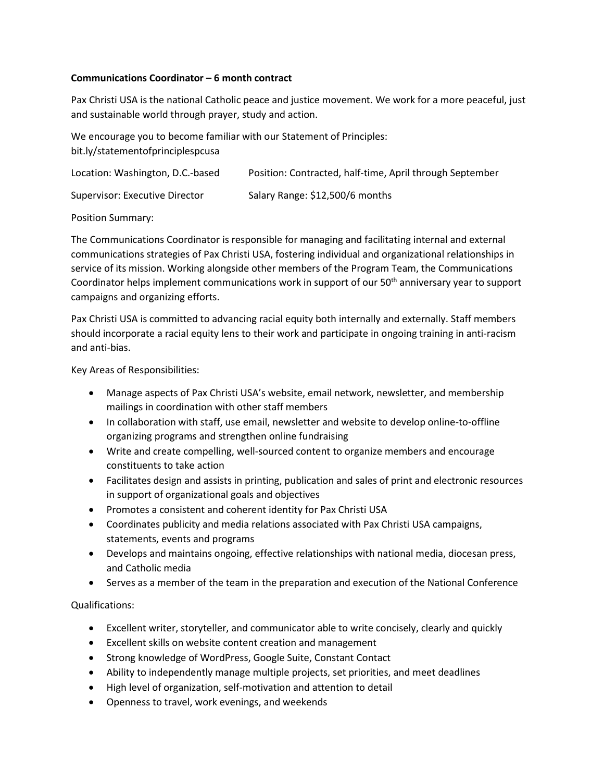## **Communications Coordinator – 6 month contract**

Pax Christi USA is the national Catholic peace and justice movement. We work for a more peaceful, just and sustainable world through prayer, study and action.

We encourage you to become familiar with our Statement of Principles: bit.ly/statementofprinciplespcusa

| Location: Washington, D.C.-based | Position: Contracted, half-time, April through September |
|----------------------------------|----------------------------------------------------------|
| Supervisor: Executive Director   | Salary Range: \$12,500/6 months                          |

Position Summary:

The Communications Coordinator is responsible for managing and facilitating internal and external communications strategies of Pax Christi USA, fostering individual and organizational relationships in service of its mission. Working alongside other members of the Program Team, the Communications Coordinator helps implement communications work in support of our 50<sup>th</sup> anniversary year to support campaigns and organizing efforts.

Pax Christi USA is committed to advancing racial equity both internally and externally. Staff members should incorporate a racial equity lens to their work and participate in ongoing training in anti-racism and anti-bias.

Key Areas of Responsibilities:

- Manage aspects of Pax Christi USA's website, email network, newsletter, and membership mailings in coordination with other staff members
- In collaboration with staff, use email, newsletter and website to develop online-to-offline organizing programs and strengthen online fundraising
- Write and create compelling, well-sourced content to organize members and encourage constituents to take action
- Facilitates design and assists in printing, publication and sales of print and electronic resources in support of organizational goals and objectives
- Promotes a consistent and coherent identity for Pax Christi USA
- Coordinates publicity and media relations associated with Pax Christi USA campaigns, statements, events and programs
- Develops and maintains ongoing, effective relationships with national media, diocesan press, and Catholic media
- Serves as a member of the team in the preparation and execution of the National Conference

Qualifications:

- Excellent writer, storyteller, and communicator able to write concisely, clearly and quickly
- Excellent skills on website content creation and management
- Strong knowledge of WordPress, Google Suite, Constant Contact
- Ability to independently manage multiple projects, set priorities, and meet deadlines
- High level of organization, self-motivation and attention to detail
- Openness to travel, work evenings, and weekends